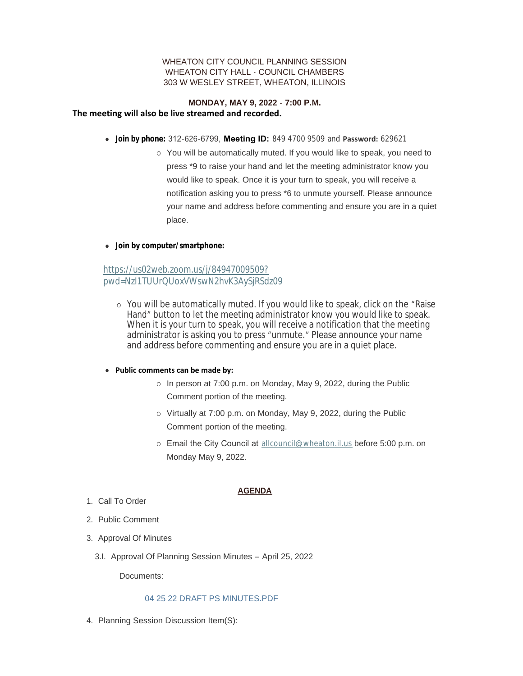# WHEATON CITY COUNCIL PLANNING SESSION WHEATON CITY HALL - COUNCIL CHAMBERS 303 W WESLEY STREET, WHEATON, ILLINOIS

## **MONDAY, MAY 9, 2022 - 7:00 P.M. The meeting will also be live streamed and recorded.**

- <sup>l</sup> **Join by phone:** 312-626-6799, **Meeting ID:** 849 4700 9509 and **Password:** 629621
	- $\circ$  You will be automatically muted. If you would like to speak, you need to press \*9 to raise your hand and let the meeting administrator know you would like to speak. Once it is your turn to speak, you will receive a notification asking you to press \*6 to unmute yourself. Please announce your name and address before commenting and ensure you are in a quiet place.
- **.** Join by computer/smartphone:

# https://us02web.zoom.us/j/84947009509? [pwd=NzI1TUUrQUoxVWswN2hvK3AySjRSdz09](https://us02web.zoom.us/j/84947009509?pwd=NzI1TUUrQUoxVWswN2hvK3AySjRSdz09)

¡ You will be automatically muted. If you would like to speak, click on the "Raise Hand" button to let the meeting administrator know you would like to speak. When it is your turn to speak, you will receive a notification that the meeting administrator is asking you to press "unmute." Please announce your name and address before commenting and ensure you are in a quiet place.

### **• Public comments can be made by:**

- $\circ$  In person at 7:00 p.m. on Monday, May 9, 2022, during the Public Comment portion of the meeting.
- o Virtually at 7:00 p.m. on Monday, May 9, 2022, during the Public Comment portion of the meeting.
- o Email the City Council at [allcouncil@wheaton.il.us](mailto:allcouncil@wheaton.il.us) before 5:00 p.m. on Monday May 9, 2022.

# **AGENDA**

- 1. Call To Order
- 2. Public Comment
- 3. Approval Of Minutes
	- 3.I. Approval Of Planning Session Minutes April 25, 2022

Documents:

### 04 25 22 DRAFT PS MINUTES PDF

4. Planning Session Discussion Item(S):